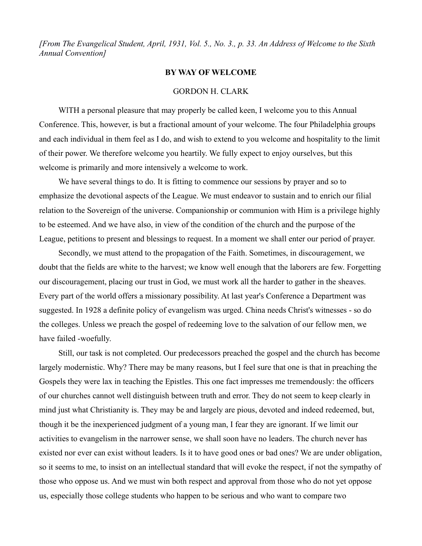*[From The Evangelical Student, April, 1931, Vol. 5., No. 3., p. 33. An Address of Welcome to the Sixth Annual Convention]*

## **BY WAY OF WELCOME**

## GORDON H. CLARK

WITH a personal pleasure that may properly be called keen, I welcome you to this Annual Conference. This, however, is but a fractional amount of your welcome. The four Philadelphia groups and each individual in them feel as I do, and wish to extend to you welcome and hospitality to the limit of their power. We therefore welcome you heartily. We fully expect to enjoy ourselves, but this welcome is primarily and more intensively a welcome to work.

We have several things to do. It is fitting to commence our sessions by prayer and so to emphasize the devotional aspects of the League. We must endeavor to sustain and to enrich our filial relation to the Sovereign of the universe. Companionship or communion with Him is a privilege highly to be esteemed. And we have also, in view of the condition of the church and the purpose of the League, petitions to present and blessings to request. In a moment we shall enter our period of prayer.

Secondly, we must attend to the propagation of the Faith. Sometimes, in discouragement, we doubt that the fields are white to the harvest; we know well enough that the laborers are few. Forgetting our discouragement, placing our trust in God, we must work all the harder to gather in the sheaves. Every part of the world offers a missionary possibility. At last year's Conference a Department was suggested. In 1928 a definite policy of evangelism was urged. China needs Christ's witnesses - so do the colleges. Unless we preach the gospel of redeeming love to the salvation of our fellow men, we have failed -woefully.

Still, our task is not completed. Our predecessors preached the gospel and the church has become largely modernistic. Why? There may be many reasons, but I feel sure that one is that in preaching the Gospels they were lax in teaching the Epistles. This one fact impresses me tremendously: the officers of our churches cannot well distinguish between truth and error. They do not seem to keep clearly in mind just what Christianity is. They may be and largely are pious, devoted and indeed redeemed, but, though it be the inexperienced judgment of a young man, I fear they are ignorant. If we limit our activities to evangelism in the narrower sense, we shall soon have no leaders. The church never has existed nor ever can exist without leaders. Is it to have good ones or bad ones? We are under obligation, so it seems to me, to insist on an intellectual standard that will evoke the respect, if not the sympathy of those who oppose us. And we must win both respect and approval from those who do not yet oppose us, especially those college students who happen to be serious and who want to compare two